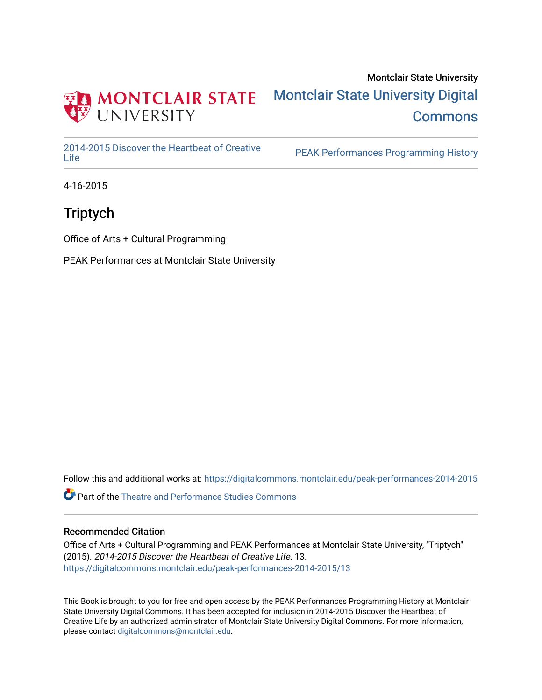

### Montclair State University [Montclair State University Digital](https://digitalcommons.montclair.edu/)  **Commons**

[2014-2015 Discover the Heartbeat of Creative](https://digitalcommons.montclair.edu/peak-performances-2014-2015) 

PEAK Performances Programming History

4-16-2015

### **Triptych**

Office of Arts + Cultural Programming

PEAK Performances at Montclair State University

Follow this and additional works at: [https://digitalcommons.montclair.edu/peak-performances-2014-2015](https://digitalcommons.montclair.edu/peak-performances-2014-2015?utm_source=digitalcommons.montclair.edu%2Fpeak-performances-2014-2015%2F13&utm_medium=PDF&utm_campaign=PDFCoverPages) 

Part of the [Theatre and Performance Studies Commons](http://network.bepress.com/hgg/discipline/552?utm_source=digitalcommons.montclair.edu%2Fpeak-performances-2014-2015%2F13&utm_medium=PDF&utm_campaign=PDFCoverPages) 

#### Recommended Citation

Office of Arts + Cultural Programming and PEAK Performances at Montclair State University, "Triptych" (2015). 2014-2015 Discover the Heartbeat of Creative Life. 13. [https://digitalcommons.montclair.edu/peak-performances-2014-2015/13](https://digitalcommons.montclair.edu/peak-performances-2014-2015/13?utm_source=digitalcommons.montclair.edu%2Fpeak-performances-2014-2015%2F13&utm_medium=PDF&utm_campaign=PDFCoverPages)

This Book is brought to you for free and open access by the PEAK Performances Programming History at Montclair State University Digital Commons. It has been accepted for inclusion in 2014-2015 Discover the Heartbeat of Creative Life by an authorized administrator of Montclair State University Digital Commons. For more information, please contact [digitalcommons@montclair.edu.](mailto:digitalcommons@montclair.edu)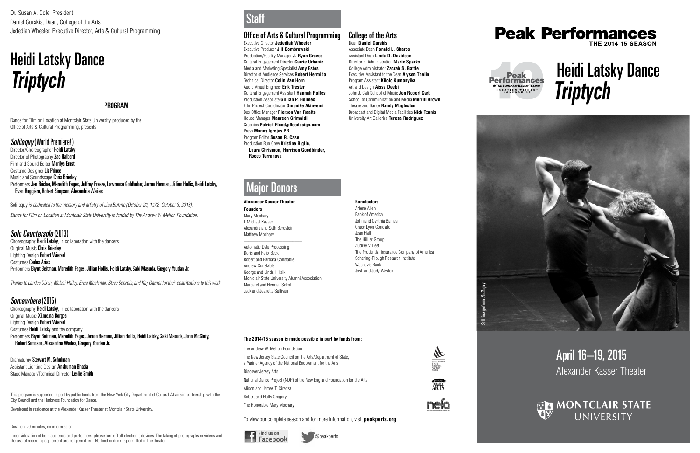# April 16–19, 2015 Alexander Kasser Theater



# Still image from Soliloquy

**Company** 

**ERSEY** 

**nefo** 

# *Triptych* Heidi Latsky Dance



Dr. Susan A. Cole, President Daniel Gurskis, Dean, College of the Arts Jedediah Wheeler, Executive Director, Arts & Cultural Programming

This program is supported in part by public funds from the New York City Department of Cultural Affairs in partnership with the City Council and the Harkness Foundation for Dance.

Developed in residence at the Alexander Kasser Theater at Montclair State University.

Duration: 70 minutes, no intermission.

In consideration of both audience and performers, please turn off all electronic devices. The taking of photographs or videos and the use of recording equipment are not permitted. No food or drink is permitted in the theater.

### **Staff**

### Office of Arts & Cultural Programming

Executive Director **Jedediah Wheeler** Executive Producer **Jill Dombrowski** Production/Facility Manager **J. Ryan Graves** Cultural Engagement Director **Carrie Urbanic** Media and Marketing Specialist **Amy Estes** Director of Audience Services **Robert Hermida** Technical Director **Colin Van Horn** Audio Visual Engineer **Erik Trester** Cultural Engagement Assistant **Hannah Rolfes**  Production Associate **Gillian P. Holmes**  Film Project Coordinator **Omonike Akinyemi** Box Office Manager **Pierson Van Raalte** House Manager **Maureen Grimaldi** Graphics **Patrick Flood/pfloodesign.com** Press **Manny Igrejas PR** Program Editor **Susan R. Case** Production Run Crew **Kristine Biglin, Laura Chrismon, Harrison Goodbinder, Rocco Terranova** 



# **Peak Performances**



#### **Alexander Kasser Theater Founders**

Mary Mochary I. Michael Kasser Alexandra and Seth Bergstein Matthew Mochary \_\_\_\_\_\_\_\_\_\_\_\_\_\_\_\_\_\_\_\_\_\_\_\_

Automatic Data Processing Doris and Felix Beck Robert and Barbara Constable Andrew Constable George and Linda Hiltzik Montclair State University Alumni Association Margaret and Herman Sokol Jack and Jeanette Sullivan

Director/Choreographer Heidi Latsky Director of Photography Zac Halberd Film and Sound Editor Marilys Ernst Costume Designer Liz Prince Music and Soundscape **Chris Brierley** Performers Jen Bricker, Meredith Fages, Jeffrey Freeze, Lawrence Goldhuber, Jerron Herman, Jillian Hollis, Heidi Latsky, Evan Ruggiero, Robert Simpson, Alexandria Wailes

**Benefactors**

Arlene Allen Bank of America John and Cynthia Barnes Grace Lyon Concialdi Jean Hall The Hillier Group Audrey V. Leef The Prudential Insurance Company of America Schering-Plough Research Institute Wachovia Bank Josh and Judy Weston

Choreography **Heidi Latsky**, in collaboration with the dancers Original Music Chris Brierley Lighting Design Robert Wierzel Costumes Carlos Arias Performers Brynt Beitman, Meredith Fages, Jillian Hollis, Heidi Latsky, Saki Masuda, Gregory Youdan Jr.

### Major Donors

### **The 2014/15 season is made possible in part by funds from:**

The Andrew W. Mellon Foundation

Choreography **Heidi Latsky**, in collaboration with the dancers Original Music **Xi.me.na Borges** Lighting Design Robert Wierzel Costumes Heidi Latsky and the company Performers Brynt Beitman, Meredith Fages, Jerron Herman, Jillian Hollis, Heidi Latsky, Saki Masuda, John McGinty, Robert Simpson, Alexandria Wailes, Gregory Youdan Jr.

Dramaturgy Stewart M. Schulman Assistant Lighting Design **Anshuman Bhatia** Stage Manager/Technical Director Leslie Smith The New Jersey State Council on the Arts/Department of State, a Partner Agency of the National Endowment for the Arts Discover Jersey Arts National Dance Project (NDP) of the New England Foundation for the Arts Alison and James T. Cirenza Robert and Holly Gregory The Honorable Mary Mochary

To view our complete season and for more information, visit **peakperfs.org** .





#### College of the Arts Dean **Daniel Gurskis**

Associate Dean **Ronald L. Sharps** Assistant Dean **Linda D. Davidson** Director of Administration **Marie Sparks** College Administrator **Zacrah S. Battle** Executive Assistant to the Dean **Alyson Thelin** Program Assistant **Kilolo Kumanyika** Art and Design **Aissa Deebi** John J. Cali School of Music **Jon Robert Cart** School of Communication and Media **Merrill Brown** Theatre and Dance **Randy Mugleston** Broadcast and Digital Media Facilities **Nick Tzanis** University Art Galleries **Teresa Rodriguez**





### PROGRAM

Dance for Film on Location at Montclair State University, produced by the Office of Arts & Cultural Programming, presents:

### Soliloquy (World Premiere!)

Soliloquy *is dedicated to the memory and artistry of Lisa Bufano (October 20, 1972–October 3, 2013).*

*Dance for Film on Location at Montclair State University is funded by The Andrew W. Mellon Foundation.*

### Solo Countersolo (2013)

# *Triptych* Heidi Latsky Dance

*Thanks to Landes Dixon, Melani Hailey, Erica Moshman, Steve Schepis, and Kay Gaynor for their contributions to this work.*

### Somewhere (2015)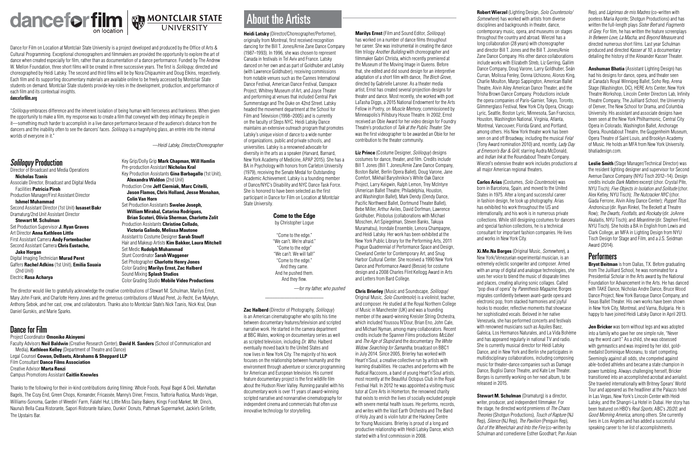## About the Artists

**Heidi Latsky** (Director/Choreographer/Performer), originally from Montreal, first received recognition dancing for the Bill T. Jones/Arnie Zane Dance Company (1987–1993). In 1996, she was chosen to represent Canada in festivals in Tel Aviv and France. Latsky danced on her own and as part of Goldhuber and Latsky (with Lawrence Goldhuber), receiving commissions from notable venues such as the Cannes International Dance Festival, American Dance Festival, Danspace Project, Whitney Museum of Art, and Joyce Theater and performing at venues that included Central Park Summerstage and The Duke on 42nd Street. Latsky headed the movement department at the School for Film and Television (1998–2005) and is currently on the faculty of Steps NYC. Heidi Latsky Dance maintains an extensive outreach program that promotes Latsky's unique vision of dance to a wide number of organizations, public and private schools, and universities. Latsky is a renowned advocate for diversity in the arts as a speaker (Harvard, Barnard, New York Academy of Medicine, APAP 2015). She has a BA in Psychology with honors from Carleton University (1979), receiving the Senate Medal for Outstanding Academic Achievement. Latsky is a founding member of Dance/NYC's Disability and NYC Dance Task Force. She is honored to have been selected as the first participant in Dance for Film on Location at Montclair State University.

### **Come to the Edge**

by Christopher Logue

"Come to the edge." "We can't. We're afraid." "Come to the edge" "We can't. We will fall!" "Come to the edge." And they came. And he pushed them. And they flew.

*—for my father, who pushed*

\_\_\_\_\_\_\_\_\_\_\_\_\_\_\_\_\_\_\_\_\_\_\_\_

**Zac Halberd** (Director of Photography, *Soliloquy*) is an American cinematographer who splits his time between documentary features/television and scripted narrative work. He started in the camera department at BBC Wales, working on documentary series as well as scripted television, including *Dr. Who*. Halberd eventually moved back to the United States and now lives in New York City. The majority of his work focuses on the relationship between humanity and the environment through adventure or science programming for American and European television. His current feature documentary project is the first wildlife film about the Hudson River Valley. Running parallel with his documentary work is over 11 years of award-winning scripted narrative and nonnarrative cinematography for independent cinema and commercials that often use innovative technology for storytelling.

**Marilys Ernst** (Film and Sound Editor, *Soliloquy*) has worked on a number of dance films throughout her career. She was instrumental in creating the dance film trilogy *Another Building* with choreographer and filmmaker Gabri Christa, which recently premiered at the Museum of the Moving Image in Queens. Before that, she edited and did sound design for an interpretive adaptation of a short film with dance, *The Birch Grove*, directed by Gabrielle Lansner. As a theater media artist, Ernst has created several projection designs for theater and dance. Most recently, she worked with poet LaTasha Diggs, a 2015 National Endowment for the Arts Fellow in Poetry, on *Muscle Memory*, commissioned by Minneapolis's Pillsbury House Theatre. In 2002, Ernst received an Obie Award for her video design for Foundry Theatre's production of *Talk at the Public Theater*. She was the first videographer to be awarded an Obie for her contribution to the theater community.

**Liz Prince** (Costume Designer, *Soliloquy*) designs costumes for dance, theater, and film. Credits include Bill T. Jones (Bill T. Jones/Arnie Zane Dance Company, Boston Ballet, Berlin Opera Ballet), Doug Varone, Jane Comfort, Mikhail Baryshnikov's White Oak Dance Project, Larry Keigwin, Ralph Lemon, Trey McIntyre (American Ballet Theatre; Philadelphia, Houston, and Washington Ballet), Mark Dendy (Dendy Dance, Pacific Northwest Ballet, Dortmund Theater Ballet), Bebe Miller, Arthur Aviles, David Dorfman, Lawrence Goldhuber, Pilobolus (collaborations with Michael Moschen, Art Spiegelman, Steven Banks, Takuya Muramatsu), Irondale Ensemble, Lenora Champagne, and Heidi Latsky. Her work has been exhibited at the New York Public Library for the Performing Arts, 2011 Prague Quadrennial of Performance Space and Design, Cleveland Center for Contemporary Art, and Snug Harbor Cultural Center. She received a 1990 New York Dance and Performance Award (Bessie) for costume design and a 2008 Charles Flint Kellogg Award in Arts and Letters from Bard College.

> **Stewart M. Schulman** (Dramaturg) is a director, writer, producer, and independent filmmaker. For the stage, he directed world premieres of *The Chaos Theories* (Shotgun Productions), *Touch of Rapture* (NJ Rep), *Silence* (NJ Rep), *The Pavilion* (Penguin Rep), *Out of the Wheelchair and Into the Fire* (co-written by Schulman and comedienne Esther Goodhart; Pan Asian

**Chris Brierley** (Music and Soundscape, *Soliloquy*/ Original Music, *Solo Countersolo*) is a violinist, teacher, and composer. He studied at the Royal Northern College of Music in Manchester (UK) and was a founding member of the award-winning Kreisler String Orchestra, which included Youssou N'Dour, Brian Eno, John Cale, and Michael Nyman, among many collaborators. Recent credits include the Spanner Films productions *McLibel*  and *The Age of Stupid* and the documentary *The White Widow: Searching for Samantha,* broadcast on BBC1 in July 2014. Since 2005, Brierley has worked with Heart'n'Soul, a creative collective run by artists with learning disabilities. He coaches and performs with the Radical Raccoons, a band of young Heart'n'Soul artists, most recently at the Beautiful Octopus Club in the Royal Festival Hall. In 2012 he was appointed a visiting music tutor at Core Arts in Homerton, the renowned charity that exists to enrich the lives of socially excluded people with severe mental health issues. He performs, records, and writes with the Vast Earth Orchestra and The Band of Holy Joy and is violin tutor at the Hackney Centre for Young Musicians. Brierley is proud of a long and productive relationship with Heidi Latsky Dance, which started with a first commission in 2008.

**Robert Wierzel** (Lighting Design, *Solo Countersolo/ Somewhere*) has worked with artists from diverse disciplines and backgrounds in theater, dance, contemporary music, opera, and museums on stages throughout the country and abroad. Wierzel has a long collaboration (28 years) with choreographer and director Bill T. Jones and the Bill T. Jones/Arnie Zane Dance Company. His other dance collaborations include works with Elizabeth Streb, Liz Gerring, Gallim Dance Company, Doug Varone, Larry Goldhuber, Seán Curran, Molissa Fenley, Donna Uchizono, Alonzo King, Charlie Moulton, Margo Sappington, American Ballet Theatre, Alvin Ailey American Dance Theater, and the Trisha Brown Dance Company. Productions include the opera companies of Paris-Garnier, Tokyo, Toronto, Glimmerglass Festival, New York City Opera, Chicago Lyric, Seattle, Boston Lyric, Minnesota, San Francisco, Houston, Washington National, Virginia, Atlanta, Montreal, Vancouver, Florida Grand, and Portland, among others. His New York theater work has been seen on and off Broadway, including the musical *Fela!*  (Tony Award nomination 2010) and, recently, *Lady Day at Emerson's Bar & Grill,* starring Audra McDonald, and *Indian Ink* at the Roundabout Theatre Company. Wierzel's extensive theater work includes productions at all major American regional theaters.

**Carlos Arias** (Costumes, *Solo Countersolo*) was born in Barcelona, Spain, and moved to the United States in 1975. After a long and successful career in fashion design, he took up photography. Arias has exhibited his work throughout the US and internationally, and his work is in numerous private collections. While still designing costumes for dancers and special fashion collections, he is a technical consultant for important fashion companies. He lives and works in New York City.

**Xi.Me.Na Borges** (Original Music, *Somewhere*), a New York/Venezuelan experimental musician, is an extremely eclectic songwriter and composer. Armed with an array of digital and analogue technologies, she uses her voice to blend the music of disparate times and places, creating alluring sonic collages. Called "pop diva of opera" by *Parenthesis Magazine,* Borges migrates confidently between avant-garde opera and electronic pop, from stacked harmonies and joyful hooks to moodier, reflective moments that showcase her sophisticated vocals. Beloved in her native Venezuela, she has performed concerts and festivals with renowned musicians such as Aquiles Baez. Galeica, Los Hermanos Naturales, and La Vida Bohème and has appeared regularly in national TV and radio. She is currently musical director for Heidi Latsky Dance, and in New York and Berlin she participates in multidisciplinary collaborations, including composing music for theater-dance companies such as Damage Dance, Buglisi Dance Theatre, and Kate Lee Theater. Borges is currently working on her next album, to be released in 2015.

Rep), and *Lágrimas de mis Madres* (co-written with poetess Maria Aponte; Shotgun Productions) and has written the full-length plays *Sister Bert* and *Fragments of Grey.* For film, he has written the feature screenplays *In Between Love, La Macha,* and *Beyond Measure* and directed numerous short films. Last year Schulman produced and directed *Kasser at 10*, a documentary detailing the history of the Alexander Kasser Theater.

**Anshuman Bhatia** (Assistant Lighting Design) has had his designs for dance, opera, and theater seen at Canada's Royal Winnipeg Ballet, Soho Rep, Arena Stage (Washington, DC), HERE Arts Center, New York Theatre Workshop, Lincoln Center Directors Lab, Infinity Theatre Company, The Juilliard School, the University of Denver, The New School for Drama, and Columbia University. His assistant and associate designs have been seen at the New York Philharmonic, Central City Opera in Colorado, Washington Ballet, Anchorage Opera, Roundabout Theatre, the Guggenheim Museum, Opera Theatre of Saint Louis, and Brooklyn Academy of Music. He holds an MFA from New York University. bhatiadesign.com.

**Leslie Smith** (Stage Manager/Technical Director) was the resident lighting designer and supervisor for Second Avenue Dance Company (NYU Tisch 2012–14). Design credits include *Dark Matters* excerpt (chor. Crystal Pite, NYU Tisch); *Five Objects in Isolation and Solitude* (chor. Alex Ketley, NYU Tisch); *The Nutcracker NYC* (chor. Giada Ferrone, Alvin Ailey Dance Center); *Puppet Titus Andronicus* (dir. Ryan Rinkel, The Beckett at Theatre Row); *The Dwarfs, Footfalls,* and *Rockaby* (dir. JoAnne Akalaitis, NYU Tisch); and *Meantime* (dir. Stephen Fried, NYU Tisch). She holds a BA in English from Lewis and Clark College, an MFA in Lighting Design from NYU Tisch Design for Stage and Film, and a J.S. Seidman Award (2014).

### Performers

**Brynt Beitman** is from Dallas, TX. Before graduating from The Juilliard School, he was nominated for a Presidential Scholar in the Arts award by the National Foundation for Advancement in the Arts. He has danced with TAKE Dance, Nicholas Andre Dance, Bruce Wood Dance Project, New York Baroque Dance Company, and Texas Ballet Theater. His own works have been shown in New York City, Montreal, and Varna, Bulgaria. He is happy to have joined Heidi Latsky Dance in April 2013.

**Jen Bricker** was born without legs and was adopted into a family who gave her one simple rule, "Never say the word *can't.*" As a child, she was obsessed with gymnastics and was inspired by her idol, goldmedalist Dominique Moceanu, to start competing. Seemingly against all odds, she competed against able-bodied athletes and became a state champion in power tumbling. Always challenging herself, Bricker transitioned into an accomplished acrobat and aerialist. She traveled internationally with Britney Spears' World Tour and appeared as the headliner at the Palazzo hotel in Las Vegas, New York's Lincoln Center with Heidi Latsky, and the Shangri-La Hotel in Dubai. Her story has been featured on HBO's *Real Sports*, ABC's *20/20*, and *Good Morning America*, among others. She currently lives in Los Angeles and has added a successful speaking career to her list of accomplishments.





Dance for Film on Location at Montclair State University is a project developed and produced by the Office of Arts & Cultural Programming. Exceptional choreographers and filmmakers are provided the opportunity to explore the art of dance when created especially for film, rather than as documentation of a dance performance. Funded by The Andrew W. Mellon Foundation, three short films will be created in three successive years. The first is *Soliloquy*, directed and choreographed by Heidi Latsky. The second and third films will be by Nora Chipaumire and Doug Elkins, respectively. Each film and its supporting documentary materials are available online to be freely accessed by Montclair State students on demand. Montclair State students provide key roles in the development, production, and performance of each film and its contextual insights.

#### danceforfilm.org

"*Soliloquy* embraces difference and the inherent isolation of being human with fierceness and frankness. When given the opportunity to make a film, my response was to create a film that conveyed with deep intimacy the people in it—something much harder to accomplish in a live dance performance because of the audience's distance from the dancers and the inability often to see the dancers' faces. *Soliloquy* is a magnifying glass, an entrée into the internal worlds of everyone in it."

*—Heidi Latsky, Director/Choreographer*

### Soliloquy Production

Director of Broadcast and Media Operations **Nicholas Tzanis** Associate Director, Broadcast and Digital Media Facilities **Patricia Piroh** Production Manager/First Assistant Director **Ishmel Muhammad** Second Assistant Director (1st Unit) **Iusaset Bakr** Dramaturg/2nd Unit Assistant Director **Stewart M. Schulman** Set Production Supervisor **J. Ryan Graves** Art Director **Anna Kathleen Little** First Assistant Camera **Andy Fortenbacher** Second Assistant Camera **Chris Eustache, Jake Horgan** Digital Imaging Technician **Murad Peret** Gaffers **Rachel Adkins** (1st Unit), **Emilia Sauaia** (2nd Unit) Electric **Rasa Acharya**

Key Grip/Dolly Grip **Mark Chapman, Will Hamlin** Pre-production Assistant **Nicholas Kral** Key Production Assistants **Gina Barbagallo** (1st Unit), **Alexandra Waldon** (2nd Unit)

Production Crew **Jeff Cierniak, Marc Critelli, Jason Flamos, Chris Holland, Jesse Monahan,** 

**Colin Van Horn** Set Production Assistants **Swelee Joseph,** 

**William Mirabal, Catarina Rodrigues, Brian Scuteri, Olivia Sherman, Charlotte Zolit** Production Assistants **Christine Collado,** 

**Victoria Galindo, Melissa Mautone** Assistant to Costume Designer **Sarah Stouff** Hair and Makeup Artists **Kim Bakker, Laura Mitchell** Set Medic **Rudolph Muhammad** Stunt Coordinator S**arah Waggener** Set Photographer **Charlotte Henry Jones** Color Grading **Marilys Ernst, Zac Halberd** Sound Mixing **Splash Studios** Color Grading Studio **Mobile Video Productions**

The director would like to gratefully acknowledge the creative contributions of Stewart M. Schulman, Marilys Ernst, Mary John Frank, and Charlotte Henry Jones and the generous contributions of Murad Peret, Jo Recht, Eve Mykytyn, Anthony Sebok, and her cast, crew, and collaborators. Thanks also to Montclair State's Nick Tzanis, Nick Kral, Dean Daniel Gurskis, and Marie Sparks.

### Dance for Film

Project Coordinator **Omonike Akinyemi**

Faculty Advisors **Neil Baldwin** (Creative Research Center), **David H. Sanders** (School of Communication and Media), **Kathleen Kelley** (Department of Theatre and Dance)

Legal Counsel **Cowan, DeBaets, Abrahams & Sheppard LLP** Film Consultant **Dance Films Association** Creative Advisor **Marta Renzi**

Campus Promotions Assistant **Caitlin Knowles**

Thanks to the following for their in-kind contributions during filming: Whole Foods, Royal Bagel & Deli, Manhattan Bagels, The Cozy End, Green Chops, Koreander, Fricassée, Manny's Diner, Frescos, Trattoria Rustica, Mundo Vegan, Williams-Sonoma, Garden of Weedin' Farm, Falafel Hut, Little Miss Daisy Bakery, Kings Food Market, Mr. Dino's, Nauna's Bella Casa Ristorante, Sapori Ristorante Italiano, Dunkin' Donuts, Pathmark Supermarket, Jackie's Grillette, The Upstairs Bar.